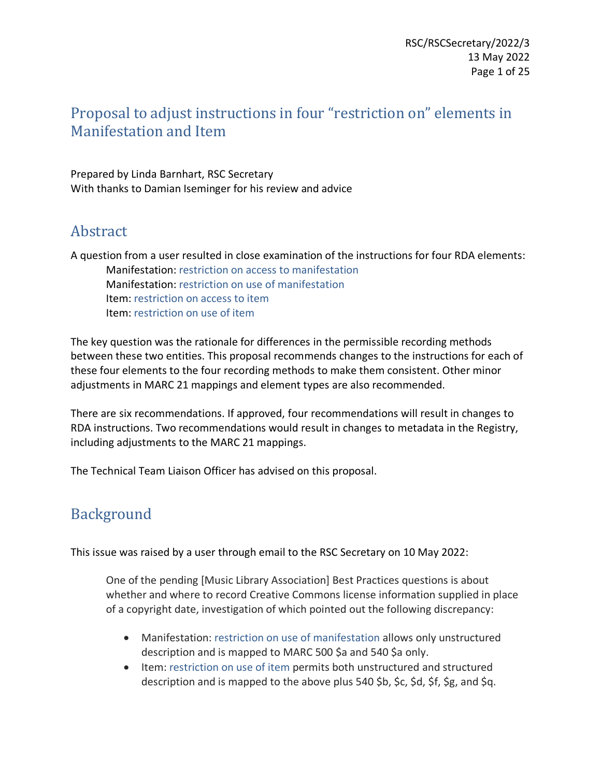# Proposal to adjust instructions in four "restriction on" elements in Manifestation and Item

Prepared by Linda Barnhart, RSC Secretary With thanks to Damian Iseminger for his review and advice

# Abstract

A question from a user resulted in close examination of the instructions for four RDA elements: Manifestation: restriction on access to manifestation Manifestation: restriction on use of manifestation Item: restriction on access to item Item: restriction on use of item

The key question was the rationale for differences in the permissible recording methods between these two entities. This proposal recommends changes to the instructions for each of these four elements to the four recording methods to make them consistent. Other minor adjustments in MARC 21 mappings and element types are also recommended.

There are six recommendations. If approved, four recommendations will result in changes to RDA instructions. Two recommendations would result in changes to metadata in the Registry, including adjustments to the MARC 21 mappings.

The Technical Team Liaison Officer has advised on this proposal.

# Background

This issue was raised by a user through email to the RSC Secretary on 10 May 2022:

One of the pending [Music Library Association] Best Practices questions is about whether and where to record Creative Commons license information supplied in place of a copyright date, investigation of which pointed out the following discrepancy:

- Manifestation: restriction on use of manifestation allows only unstructured description and is mapped to MARC 500 \$a and 540 \$a only.
- Item: restriction on use of item permits both unstructured and structured description and is mapped to the above plus 540 \$b, \$c, \$d, \$f, \$g, and \$q.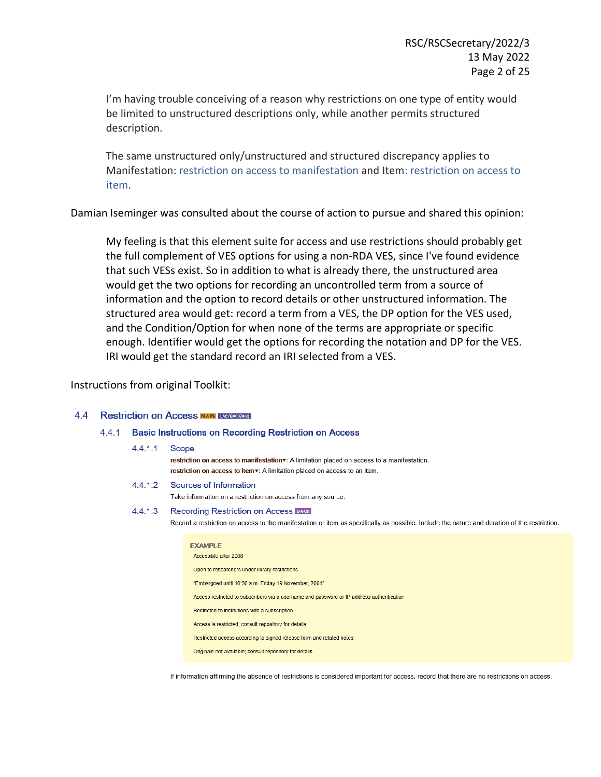I'm having trouble conceiving of a reason why restrictions on one type of entity would be limited to unstructured descriptions only, while another permits structured description.

The same unstructured only/unstructured and structured discrepancy applies to Manifestation: restriction on access to manifestation and Item: restriction on access to item.

Damian Iseminger was consulted about the course of action to pursue and shared this opinion:

My feeling is that this element suite for access and use restrictions should probably get the full complement of VES options for using a non-RDA VES, since I've found evidence that such VESs exist. So in addition to what is already there, the unstructured area would get the two options for recording an uncontrolled term from a source of information and the option to record details or other unstructured information. The structured area would get: record a term from a VES, the DP option for the VES used, and the Condition/Option for when none of the terms are appropriate or specific enough. Identifier would get the options for recording the notation and DP for the VES. IRI would get the standard record an IRI selected from a VES.

Instructions from original Toolkit:

#### 44 Restriction on Access MIAPS LAC/BAG-BARQ

### 4.4.1 Basic Instructions on Recording Restriction on Access

| 4.4.1.1 | Scope | restriction on access to manifestation v: A limitation placed on access to a manifestation.<br>restriction on access to item . A limitation placed on access to an item.                                                                                                                                                                                                                                                          |
|---------|-------|-----------------------------------------------------------------------------------------------------------------------------------------------------------------------------------------------------------------------------------------------------------------------------------------------------------------------------------------------------------------------------------------------------------------------------------|
| 4.4.1.2 |       | Sources of Information<br>Take information on a restriction on access from any source.                                                                                                                                                                                                                                                                                                                                            |
| 4.4.1.3 |       | Recording Restriction on Access DACH<br>Record a restriction on access to the manifestation or item as specifically as possible. Include the nature and duration of the restriction.                                                                                                                                                                                                                                              |
|         |       | <b>EXAMPLE</b><br>Accessible after 2008<br>Open to researchers under library restrictions<br>"Embargoed until 10:30 a.m. Friday 19 November, 2004"<br>Access restricted to subscribers via a username and password or IP address authentication<br>Restricted to institutions with a subscription<br>Access is restricted; consult repository for details<br>Restricted access according to signed release form and related notes |

Originals not available: consult repository for details

If information affirming the absence of restrictions is considered important for access, record that there are no restrictions on access.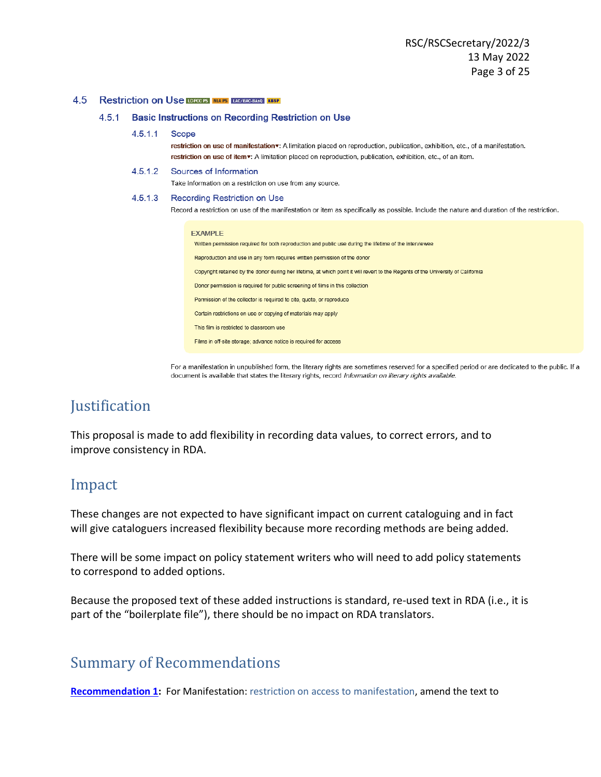#### 4.5 Restriction on Use **LOPGOPS** NIAPS LAC/BAC-BANQ KBSP

#### $4.5.1$ **Basic Instructions on Recording Restriction on Use**

#### $4.5.1.1$ Scope

restriction on use of manifestation v: A limitation placed on reproduction, publication, exhibition, etc., of a manifestation. restriction on use of item v: A limitation placed on reproduction, publication, exhibition, etc., of an item.

#### $4.5.1.2$ Sources of Information

Take information on a restriction on use from any source.

#### $4.5.1.3$ Recording Restriction on Use

Record a restriction on use of the manifestation or item as specifically as possible. Include the nature and duration of the restriction.

| EXAMPLE |  |  |
|---------|--|--|
|         |  |  |

Written permission required for both reproduction and public use during the lifetime of the interviewee Reproduction and use in any form requires written permission of the donor

Copyright retained by the donor during her lifetime, at which point it will revert to the Regents of the University of California

Donor permission is required for public screening of films in this collection

Permission of the collector is required to cite, quote, or reproduce

Certain restrictions on use or copying of materials may apply

This film is restricted to classroom use

Films in off-site storage; advance notice is required for access

For a manifestation in unpublished form, the literary rights are sometimes reserved for a specified period or are dedicated to the public. If a document is available that states the literary rights, record Information on literary rights available.

## **Justification**

This proposal is made to add flexibility in recording data values, to correct errors, and to improve consistency in RDA.

## Impact

These changes are not expected to have significant impact on current cataloguing and in fact will give cataloguers increased flexibility because more recording methods are being added.

There will be some impact on policy statement writers who will need to add policy statements to correspond to added options.

Because the proposed text of these added instructions is standard, re-used text in RDA (i.e., it is part of the "boilerplate file"), there should be no impact on RDA translators.

## Summary of Recommendations

**[Recommendation 1:](#page-4-0)** For Manifestation: restriction on access to manifestation, amend the text to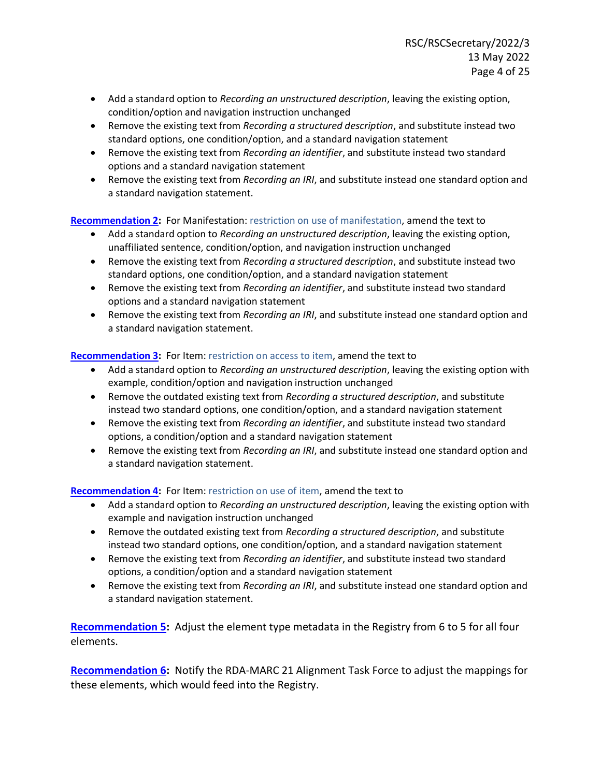- Add a standard option to *Recording an unstructured description*, leaving the existing option, condition/option and navigation instruction unchanged
- Remove the existing text from *Recording a structured description*, and substitute instead two standard options, one condition/option, and a standard navigation statement
- Remove the existing text from *Recording an identifier*, and substitute instead two standard options and a standard navigation statement
- Remove the existing text from *Recording an IRI*, and substitute instead one standard option and a standard navigation statement.

## **[Recommendation 2:](#page-9-0)** For Manifestation: restriction on use of manifestation, amend the text to

- Add a standard option to *Recording an unstructured description*, leaving the existing option, unaffiliated sentence, condition/option, and navigation instruction unchanged
- Remove the existing text from *Recording a structured description*, and substitute instead two standard options, one condition/option, and a standard navigation statement
- Remove the existing text from *Recording an identifier*, and substitute instead two standard options and a standard navigation statement
- Remove the existing text from *Recording an IRI*, and substitute instead one standard option and a standard navigation statement.

## **[Recommendation 3:](#page-14-0)** For Item: restriction on access to item, amend the text to

- Add a standard option to *Recording an unstructured description*, leaving the existing option with example, condition/option and navigation instruction unchanged
- Remove the outdated existing text from *Recording a structured description*, and substitute instead two standard options, one condition/option, and a standard navigation statement
- Remove the existing text from *Recording an identifier*, and substitute instead two standard options, a condition/option and a standard navigation statement
- Remove the existing text from *Recording an IRI*, and substitute instead one standard option and a standard navigation statement.

## **[Recommendation 4:](#page-20-0)** For Item: restriction on use of item, amend the text to

- Add a standard option to *Recording an unstructured description*, leaving the existing option with example and navigation instruction unchanged
- Remove the outdated existing text from *Recording a structured description*, and substitute instead two standard options, one condition/option, and a standard navigation statement
- Remove the existing text from *Recording an identifier*, and substitute instead two standard options, a condition/option and a standard navigation statement
- Remove the existing text from *Recording an IRI*, and substitute instead one standard option and a standard navigation statement.

**[Recommendation 5:](#page-24-0)** Adjust the element type metadata in the Registry from 6 to 5 for all four elements.

**[Recommendation 6:](#page-24-1)** Notify the RDA-MARC 21 Alignment Task Force to adjust the mappings for these elements, which would feed into the Registry.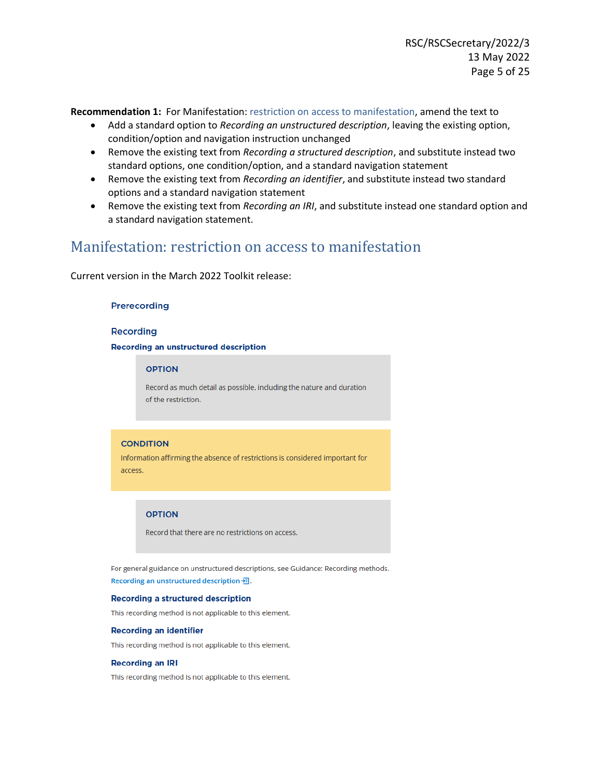<span id="page-4-0"></span>**Recommendation 1:** For Manifestation: restriction on access to manifestation, amend the text to

- Add a standard option to *Recording an unstructured description*, leaving the existing option, condition/option and navigation instruction unchanged
- Remove the existing text from *Recording a structured description*, and substitute instead two standard options, one condition/option, and a standard navigation statement
- Remove the existing text from *Recording an identifier*, and substitute instead two standard options and a standard navigation statement
- Remove the existing text from *Recording an IRI*, and substitute instead one standard option and a standard navigation statement.

## Manifestation: restriction on access to manifestation

Current version in the March 2022 Toolkit release:

#### Prerecording

#### **Recording**

#### **Recording an unstructured description**

#### **OPTION**

Record as much detail as possible, including the nature and duration of the restriction.

#### **CONDITION**

Information affirming the absence of restrictions is considered important for access.

#### **OPTION**

Record that there are no restrictions on access.

For general guidance on unstructured descriptions, see Guidance: Recording methods. Recording an unstructured description - - 司.

#### **Recording a structured description**

This recording method is not applicable to this element.

#### **Recording an identifier**

This recording method is not applicable to this element.

#### **Recording an IRI**

This recording method is not applicable to this element.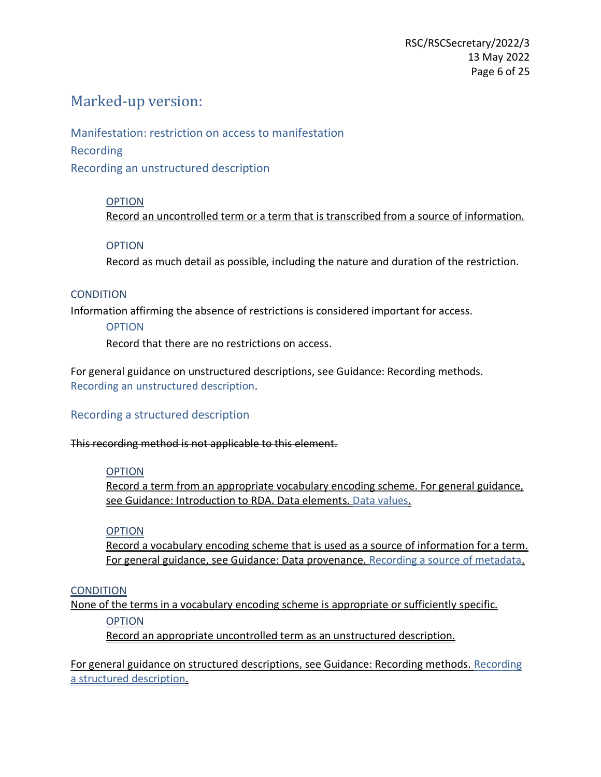# Marked-up version:

Manifestation: restriction on access to manifestation

Recording

Recording an unstructured description

## OPTION

Record an uncontrolled term or a term that is transcribed from a source of information.

## **OPTION**

Record as much detail as possible, including the nature and duration of the restriction.

## **CONDITION**

Information affirming the absence of restrictions is considered important for access.

## OPTION

Record that there are no restrictions on access.

For general guidance on unstructured descriptions, see Guidance: Recording methods. [Recording an unstructured description.](https://access.rdatoolkit.org/Guidance/Index?externalId=en-US_ala-a06b3aa1-d994-31b1-b961-e4ce37c1a4d3#section_rdaId_section_gvh_jsg_nbb)

## Recording a structured description

This recording method is not applicable to this element.

## **OPTION**

Record a term from an appropriate vocabulary encoding scheme. For general guidance, see Guidance: Introduction to RDA. Data elements. Data values.

## **OPTION**

Record a vocabulary encoding scheme that is used as a source of information for a term. For general guidance, see Guidance: Data provenance. Recording a source of metadata.

## **CONDITION**

None of the terms in a vocabulary encoding scheme is appropriate or sufficiently specific.

**OPTION** 

Record an appropriate uncontrolled term as an unstructured description.

For general guidance on structured descriptions, see Guidance: Recording methods. Recording a structured description.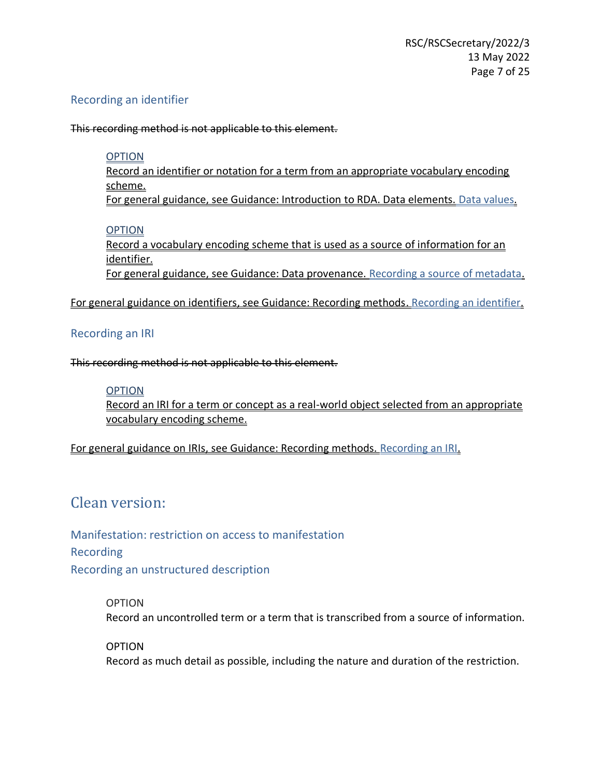## Recording an identifier

This recording method is not applicable to this element.

## **OPTION**

Record an identifier or notation for a term from an appropriate vocabulary encoding scheme. For general guidance, see Guidance: Introduction to RDA. Data elements. Data values.

## **OPTION**

Record a vocabulary encoding scheme that is used as a source of information for an identifier. For general guidance, see Guidance: Data provenance. Recording a source of metadata.

For general guidance on identifiers, see Guidance: Recording methods. Recording an identifier.

## Recording an IRI

This recording method is not applicable to this element.

## **OPTION**

Record an IRI for a term or concept as a real-world object selected from an appropriate vocabulary encoding scheme.

For general guidance on IRIs, see Guidance: Recording methods. Recording an IRI.

# Clean version:

Manifestation: restriction on access to manifestation Recording Recording an unstructured description

> OPTION Record an uncontrolled term or a term that is transcribed from a source of information.

OPTION Record as much detail as possible, including the nature and duration of the restriction.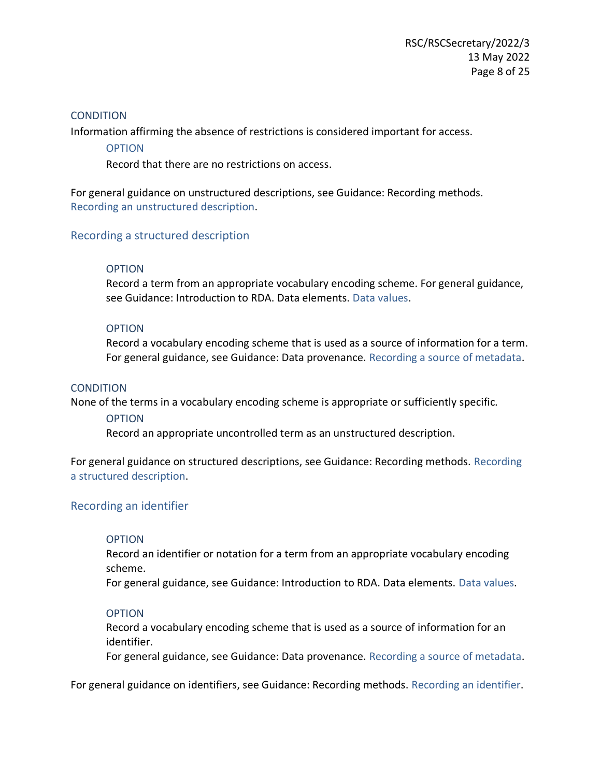## **CONDITION**

Information affirming the absence of restrictions is considered important for access.

**OPTION** 

Record that there are no restrictions on access.

For general guidance on unstructured descriptions, see Guidance: Recording methods. [Recording an unstructured description.](https://access.rdatoolkit.org/Guidance/Index?externalId=en-US_ala-a06b3aa1-d994-31b1-b961-e4ce37c1a4d3#section_rdaId_section_gvh_jsg_nbb)

## Recording a structured description

## **OPTION**

Record a term from an appropriate vocabulary encoding scheme. For general guidance, see Guidance: Introduction to RDA. Data elements. Data values.

## OPTION

Record a vocabulary encoding scheme that is used as a source of information for a term. For general guidance, see Guidance: Data provenance. Recording a source of metadata.

## **CONDITION**

None of the terms in a vocabulary encoding scheme is appropriate or sufficiently specific.

## OPTION

Record an appropriate uncontrolled term as an unstructured description.

For general guidance on structured descriptions, see Guidance: Recording methods. Recording a structured description.

## Recording an identifier

## **OPTION**

Record an identifier or notation for a term from an appropriate vocabulary encoding scheme.

For general guidance, see Guidance: Introduction to RDA. Data elements. Data values.

## **OPTION**

Record a vocabulary encoding scheme that is used as a source of information for an identifier.

For general guidance, see Guidance: Data provenance. Recording a source of metadata.

For general guidance on identifiers, see Guidance: Recording methods. Recording an identifier.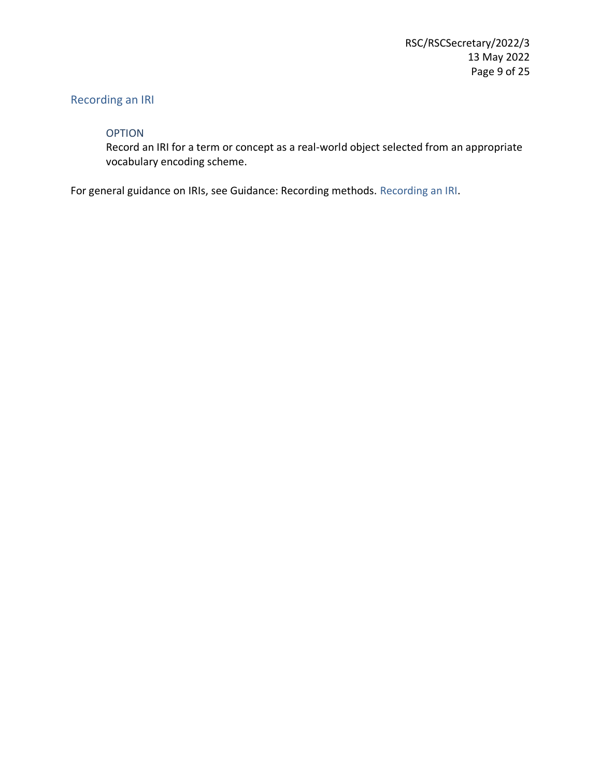## Recording an IRI

## OPTION

Record an IRI for a term or concept as a real-world object selected from an appropriate vocabulary encoding scheme.

For general guidance on IRIs, see Guidance: Recording methods. Recording an IRI.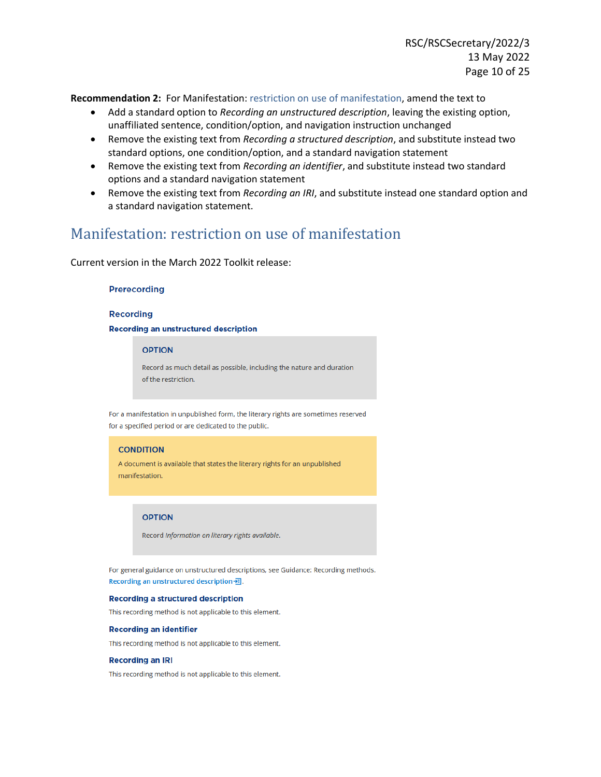<span id="page-9-0"></span>**Recommendation 2:** For Manifestation: restriction on use of manifestation, amend the text to

- Add a standard option to *Recording an unstructured description*, leaving the existing option, unaffiliated sentence, condition/option, and navigation instruction unchanged
- Remove the existing text from *Recording a structured description*, and substitute instead two standard options, one condition/option, and a standard navigation statement
- Remove the existing text from *Recording an identifier*, and substitute instead two standard options and a standard navigation statement
- Remove the existing text from *Recording an IRI*, and substitute instead one standard option and a standard navigation statement.

## Manifestation: restriction on use of manifestation

Current version in the March 2022 Toolkit release:

#### Prerecording

#### **Recording**

#### **Recording an unstructured description**

#### **OPTION**

Record as much detail as possible, including the nature and duration of the restriction.

For a manifestation in unpublished form, the literary rights are sometimes reserved for a specified period or are dedicated to the public.

#### **CONDITION**

A document is available that states the literary rights for an unpublished manifestation.

#### **OPTION**

Record Information on literary rights available.

For general guidance on unstructured descriptions, see Guidance: Recording methods. Recording an unstructured description --

#### **Recording a structured description**

This recording method is not applicable to this element.

#### **Recording an identifier**

This recording method is not applicable to this element.

#### **Recording an IRI**

This recording method is not applicable to this element.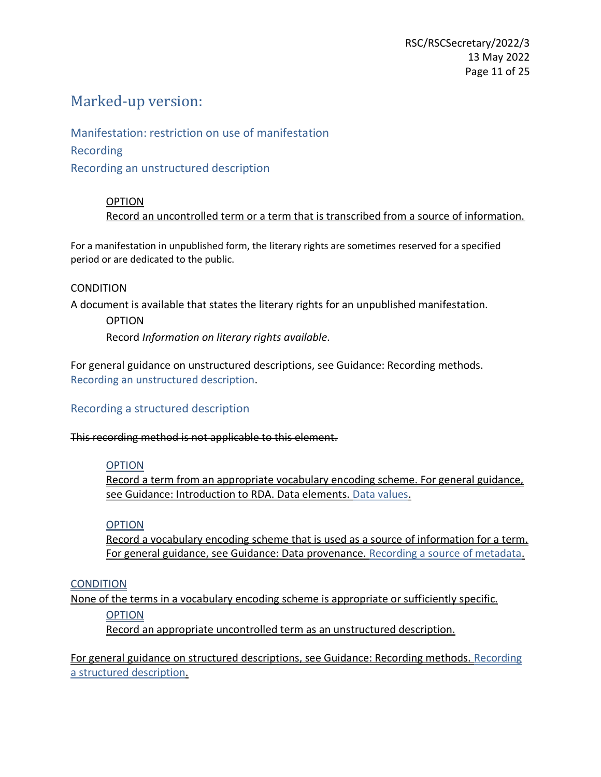# Marked-up version:

Manifestation: restriction on use of manifestation Recording Recording an unstructured description

## OPTION

Record an uncontrolled term or a term that is transcribed from a source of information.

For a manifestation in unpublished form, the literary rights are sometimes reserved for a specified period or are dedicated to the public.

## **CONDITION**

A document is available that states the literary rights for an unpublished manifestation.

## OPTION Record *Information on literary rights available*.

For general guidance on unstructured descriptions, see Guidance: Recording methods. [Recording an unstructured description.](https://access.rdatoolkit.org/Guidance/Index?externalId=en-US_ala-a06b3aa1-d994-31b1-b961-e4ce37c1a4d3#section_rdaId_section_gvh_jsg_nbb)

## Recording a structured description

This recording method is not applicable to this element.

## **OPTION**

Record a term from an appropriate vocabulary encoding scheme. For general guidance, see Guidance: Introduction to RDA. Data elements. Data values.

## **OPTION**

Record a vocabulary encoding scheme that is used as a source of information for a term. For general guidance, see Guidance: Data provenance. Recording a source of metadata.

## **CONDITION**

None of the terms in a vocabulary encoding scheme is appropriate or sufficiently specific.

## **OPTION**

Record an appropriate uncontrolled term as an unstructured description.

For general guidance on structured descriptions, see Guidance: Recording methods. Recording a structured description.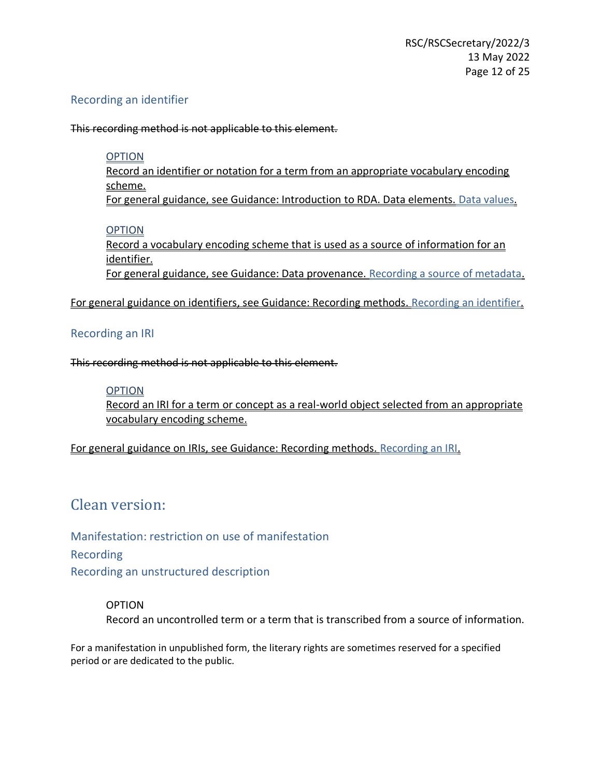## Recording an identifier

This recording method is not applicable to this element.

## **OPTION**

Record an identifier or notation for a term from an appropriate vocabulary encoding scheme.

For general guidance, see Guidance: Introduction to RDA. Data elements. Data values.

## **OPTION**

Record a vocabulary encoding scheme that is used as a source of information for an identifier. For general guidance, see Guidance: Data provenance. Recording a source of metadata.

For general guidance on identifiers, see Guidance: Recording methods. Recording an identifier.

## Recording an IRI

This recording method is not applicable to this element.

## **OPTION**

Record an IRI for a term or concept as a real-world object selected from an appropriate vocabulary encoding scheme.

For general guidance on IRIs, see Guidance: Recording methods. Recording an IRI.

# Clean version:

Manifestation: restriction on use of manifestation Recording Recording an unstructured description

## OPTION

Record an uncontrolled term or a term that is transcribed from a source of information.

For a manifestation in unpublished form, the literary rights are sometimes reserved for a specified period or are dedicated to the public.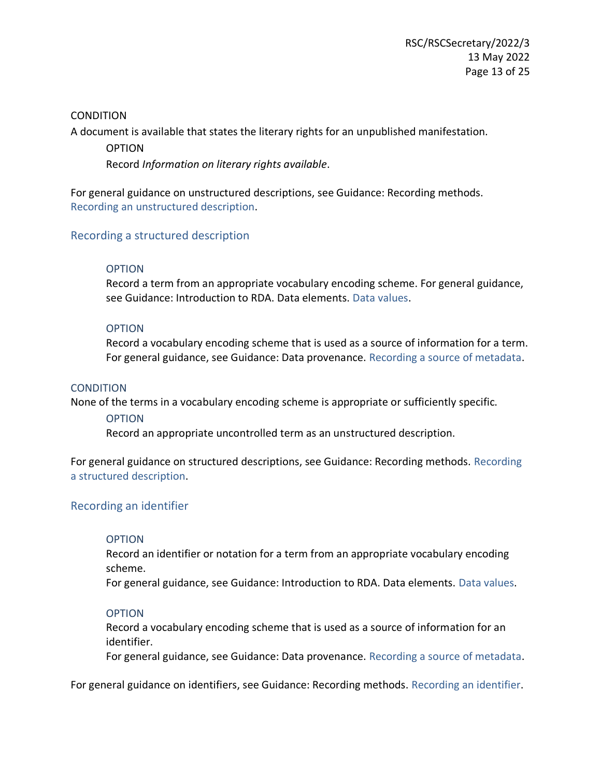## **CONDITION**

A document is available that states the literary rights for an unpublished manifestation.

**OPTION** Record *Information on literary rights available*.

For general guidance on unstructured descriptions, see Guidance: Recording methods. [Recording an unstructured description.](https://access.rdatoolkit.org/Guidance/Index?externalId=en-US_ala-a06b3aa1-d994-31b1-b961-e4ce37c1a4d3#section_rdaId_section_gvh_jsg_nbb)

## Recording a structured description

## **OPTION**

Record a term from an appropriate vocabulary encoding scheme. For general guidance, see Guidance: Introduction to RDA. Data elements. Data values.

## OPTION

Record a vocabulary encoding scheme that is used as a source of information for a term. For general guidance, see Guidance: Data provenance. Recording a source of metadata.

## **CONDITION**

None of the terms in a vocabulary encoding scheme is appropriate or sufficiently specific.

## OPTION

Record an appropriate uncontrolled term as an unstructured description.

For general guidance on structured descriptions, see Guidance: Recording methods. Recording a structured description.

## Recording an identifier

## **OPTION**

Record an identifier or notation for a term from an appropriate vocabulary encoding scheme.

For general guidance, see Guidance: Introduction to RDA. Data elements. Data values.

## **OPTION**

Record a vocabulary encoding scheme that is used as a source of information for an identifier.

For general guidance, see Guidance: Data provenance. Recording a source of metadata.

For general guidance on identifiers, see Guidance: Recording methods. Recording an identifier.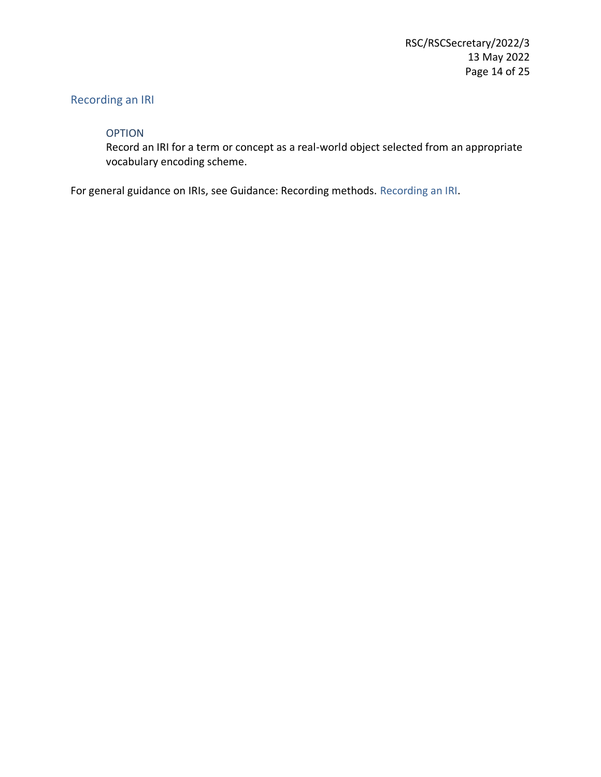## Recording an IRI

## OPTION

Record an IRI for a term or concept as a real-world object selected from an appropriate vocabulary encoding scheme.

For general guidance on IRIs, see Guidance: Recording methods. Recording an IRI.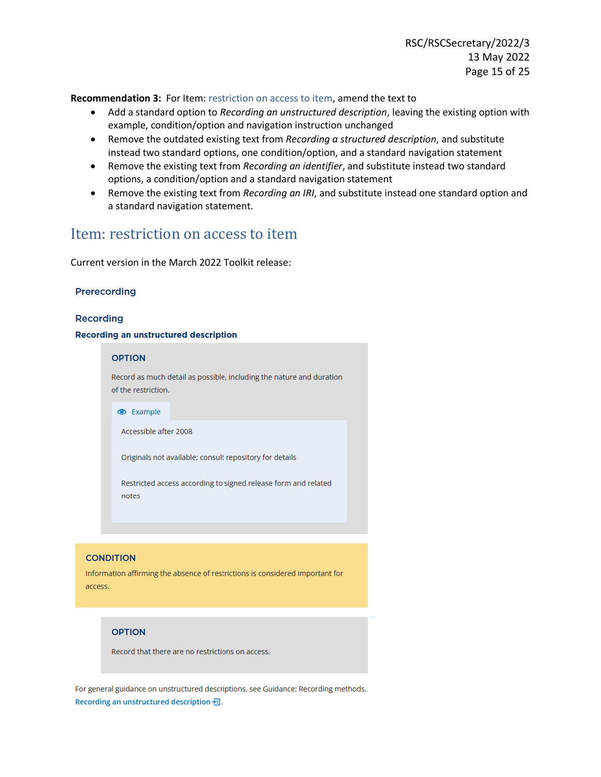<span id="page-14-0"></span>**Recommendation 3:** For Item: restriction on access to item, amend the text to

- Add a standard option to *Recording an unstructured description*, leaving the existing option with example, condition/option and navigation instruction unchanged
- Remove the outdated existing text from *Recording a structured description*, and substitute instead two standard options, one condition/option, and a standard navigation statement
- Remove the existing text from *Recording an identifier*, and substitute instead two standard options, a condition/option and a standard navigation statement
- Remove the existing text from *Recording an IRI*, and substitute instead one standard option and a standard navigation statement.

## Item: restriction on access to item

Current version in the March 2022 Toolkit release:

### Prerecording

### **Recording**

#### **Recording an unstructured description**



Information affirming the absence of restrictions is considered important for access.

### **OPTION**

Record that there are no restrictions on access.

For general guidance on unstructured descriptions, see Guidance: Recording methods. Recording an unstructured description -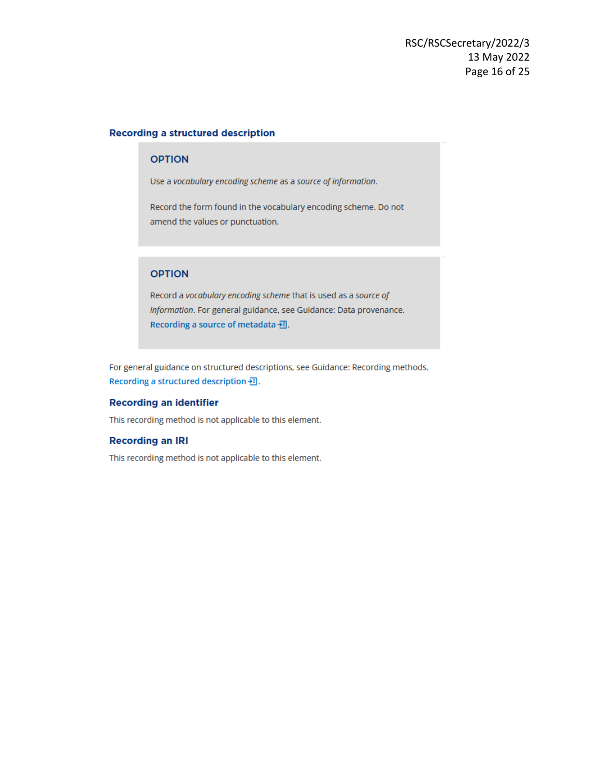#### **Recording a structured description**

### **OPTION**

Use a vocabulary encoding scheme as a source of information.

Record the form found in the vocabulary encoding scheme. Do not amend the values or punctuation.

### **OPTION**

Record a vocabulary encoding scheme that is used as a source of information. For general guidance, see Guidance: Data provenance. Recording a source of metadata <del></del>...

For general guidance on structured descriptions, see Guidance: Recording methods. Recording a structured description --

#### **Recording an identifier**

This recording method is not applicable to this element.

#### **Recording an IRI**

This recording method is not applicable to this element.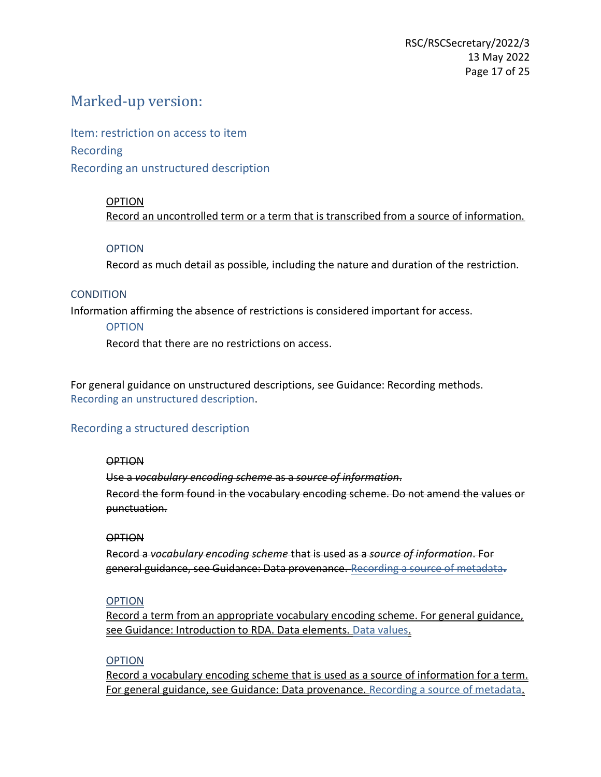## Marked-up version:

Item: restriction on access to item Recording Recording an unstructured description

## OPTION

Record an uncontrolled term or a term that is transcribed from a source of information.

## **OPTION**

Record as much detail as possible, including the nature and duration of the restriction.

## **CONDITION**

Information affirming the absence of restrictions is considered important for access.

## OPTION

Record that there are no restrictions on access.

For general guidance on unstructured descriptions, see Guidance: Recording methods. [Recording an unstructured description.](https://access.rdatoolkit.org/Guidance/Index?externalId=en-US_ala-a06b3aa1-d994-31b1-b961-e4ce37c1a4d3#section_rdaId_section_gvh_jsg_nbb)

## Recording a structured description

## OPTION

Use a *vocabulary encoding scheme* as a *source of information*. Record the form found in the vocabulary encoding scheme. Do not amend the values or punctuation.

## **OPTION**

Record a *vocabulary encoding scheme* that is used as a *source of information*. For general guidance, see Guidance: Data provenance. [Recording a source of metadata](https://access.rdatoolkit.org/Guidance/Index?externalId=en-US_ala-cfa18e03-17f2-378a-874c-86515bf7e0ac#section_rdaId_section_gr4_l4l_5cb)**.**

## OPTION

Record a term from an appropriate vocabulary encoding scheme. For general guidance, see Guidance: Introduction to RDA. Data elements. Data values.

## **OPTION**

Record a vocabulary encoding scheme that is used as a source of information for a term. For general guidance, see Guidance: Data provenance. Recording a source of metadata.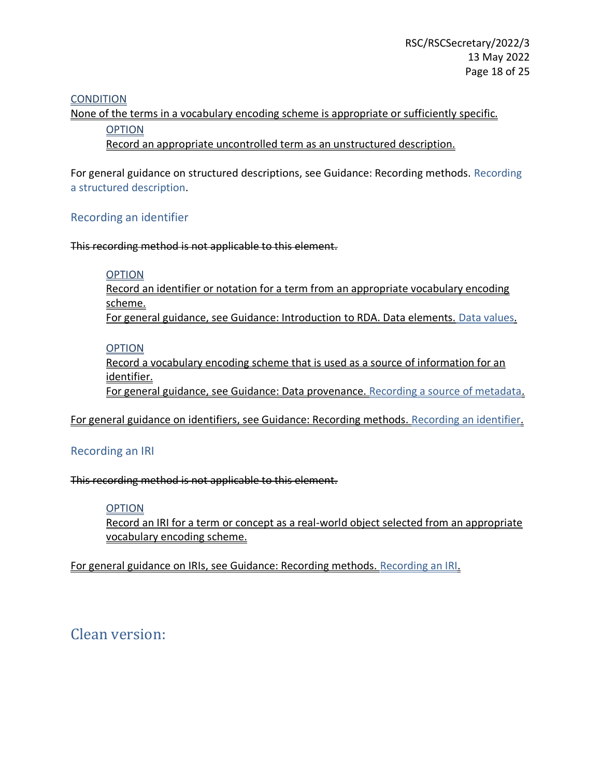## **CONDITION**

None of the terms in a vocabulary encoding scheme is appropriate or sufficiently specific.

**OPTION** 

Record an appropriate uncontrolled term as an unstructured description.

For general guidance on structured descriptions, see Guidance: Recording methods. Recording a structured description.

## Recording an identifier

This recording method is not applicable to this element.

## **OPTION**

Record an identifier or notation for a term from an appropriate vocabulary encoding scheme. For general guidance, see Guidance: Introduction to RDA. Data elements. Data values.

## **OPTION**

Record a vocabulary encoding scheme that is used as a source of information for an identifier.

For general guidance, see Guidance: Data provenance. Recording a source of metadata.

For general guidance on identifiers, see Guidance: Recording methods. Recording an identifier.

## Recording an IRI

This recording method is not applicable to this element.

## **OPTION**

Record an IRI for a term or concept as a real-world object selected from an appropriate vocabulary encoding scheme.

For general guidance on IRIs, see Guidance: Recording methods. Recording an IRI.

# Clean version: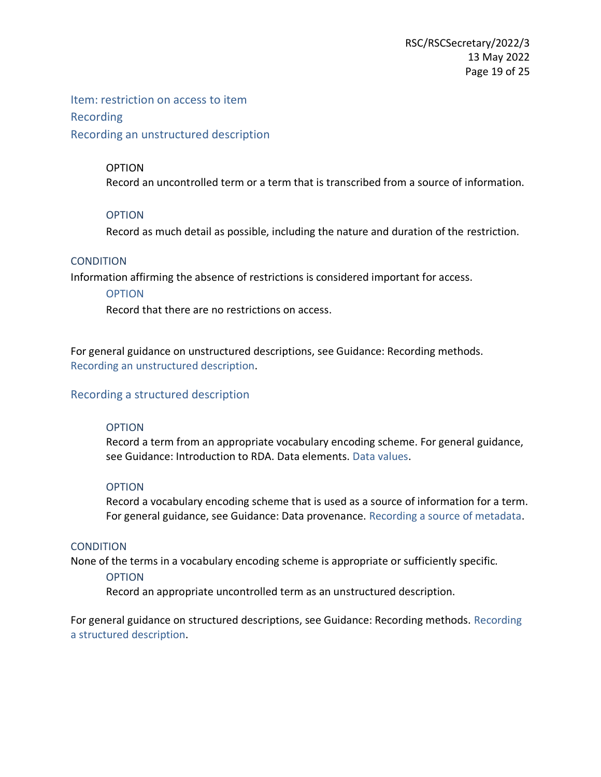Item: restriction on access to item Recording Recording an unstructured description

## **OPTION**

Record an uncontrolled term or a term that is transcribed from a source of information.

## **OPTION**

Record as much detail as possible, including the nature and duration of the restriction.

## **CONDITION**

Information affirming the absence of restrictions is considered important for access.

## **OPTION**

Record that there are no restrictions on access.

For general guidance on unstructured descriptions, see Guidance: Recording methods. [Recording an unstructured description.](https://access.rdatoolkit.org/Guidance/Index?externalId=en-US_ala-a06b3aa1-d994-31b1-b961-e4ce37c1a4d3#section_rdaId_section_gvh_jsg_nbb)

## Recording a structured description

## **OPTION**

Record a term from an appropriate vocabulary encoding scheme. For general guidance, see Guidance: Introduction to RDA. Data elements. Data values.

## **OPTION**

Record a vocabulary encoding scheme that is used as a source of information for a term. For general guidance, see Guidance: Data provenance. Recording a source of metadata.

## **CONDITION**

None of the terms in a vocabulary encoding scheme is appropriate or sufficiently specific.

## **OPTION**

Record an appropriate uncontrolled term as an unstructured description.

For general guidance on structured descriptions, see Guidance: Recording methods. Recording a structured description.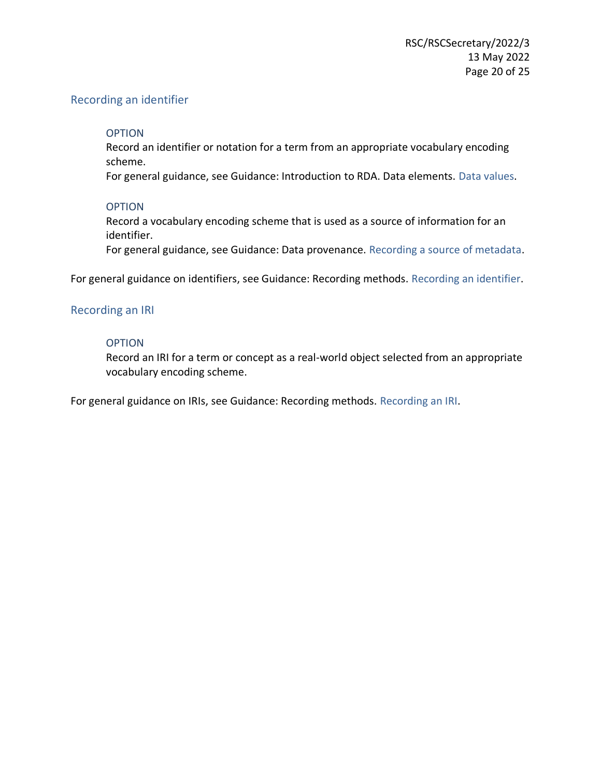## Recording an identifier

## OPTION

Record an identifier or notation for a term from an appropriate vocabulary encoding scheme.

For general guidance, see Guidance: Introduction to RDA. Data elements. Data values.

## **OPTION**

Record a vocabulary encoding scheme that is used as a source of information for an identifier.

For general guidance, see Guidance: Data provenance. Recording a source of metadata.

For general guidance on identifiers, see Guidance: Recording methods. Recording an identifier.

## Recording an IRI

## **OPTION**

Record an IRI for a term or concept as a real-world object selected from an appropriate vocabulary encoding scheme.

For general guidance on IRIs, see Guidance: Recording methods. Recording an IRI.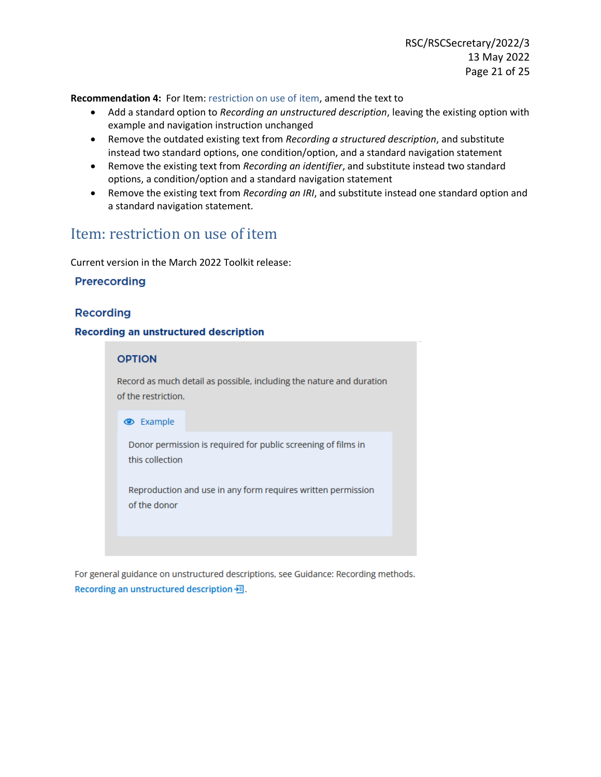<span id="page-20-0"></span>**Recommendation 4:** For Item: restriction on use of item, amend the text to

- Add a standard option to *Recording an unstructured description*, leaving the existing option with example and navigation instruction unchanged
- Remove the outdated existing text from *Recording a structured description*, and substitute instead two standard options, one condition/option, and a standard navigation statement
- Remove the existing text from *Recording an identifier*, and substitute instead two standard options, a condition/option and a standard navigation statement
- Remove the existing text from *Recording an IRI*, and substitute instead one standard option and a standard navigation statement.

## Item: restriction on use of item

Current version in the March 2022 Toolkit release:

## Prerecording

## **Recording**

## **Recording an unstructured description**

### **OPTION**

Record as much detail as possible, including the nature and duration of the restriction.

#### **Example**

Donor permission is required for public screening of films in this collection

Reproduction and use in any form requires written permission of the donor

For general guidance on unstructured descriptions, see Guidance: Recording methods. Recording an unstructured description - 司.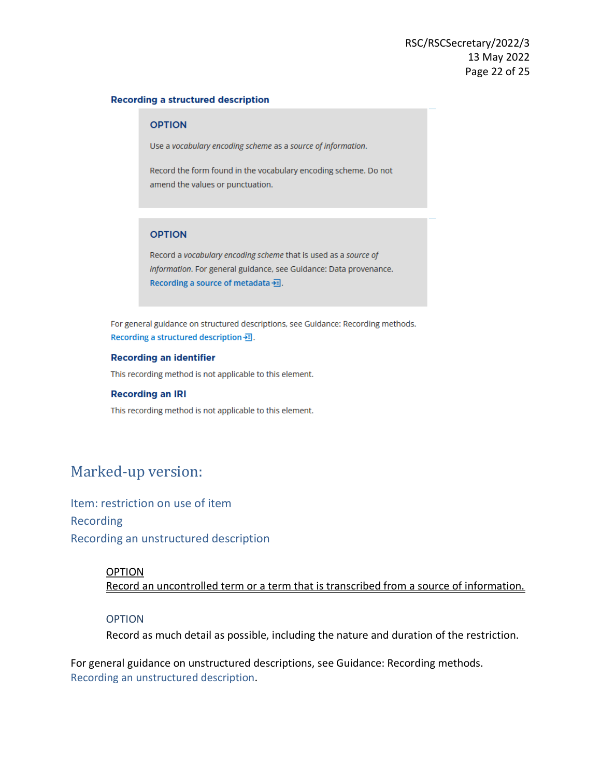#### **Recording a structured description**

#### **OPTION**

Use a vocabulary encoding scheme as a source of information.

Record the form found in the vocabulary encoding scheme. Do not amend the values or punctuation.

### **OPTION**

Record a vocabulary encoding scheme that is used as a source of information. For general guidance, see Guidance: Data provenance. Recording a source of metadata -- 司.

For general guidance on structured descriptions, see Guidance: Recording methods. Recording a structured description --

#### **Recording an identifier**

This recording method is not applicable to this element.

#### **Recording an IRI**

This recording method is not applicable to this element.

## Marked-up version:

Item: restriction on use of item Recording Recording an unstructured description

### OPTION

Record an uncontrolled term or a term that is transcribed from a source of information.

#### OPTION

Record as much detail as possible, including the nature and duration of the restriction.

For general guidance on unstructured descriptions, see Guidance: Recording methods. [Recording an unstructured description.](https://access.rdatoolkit.org/Guidance/Index?externalId=en-US_ala-a06b3aa1-d994-31b1-b961-e4ce37c1a4d3#section_rdaId_section_gvh_jsg_nbb)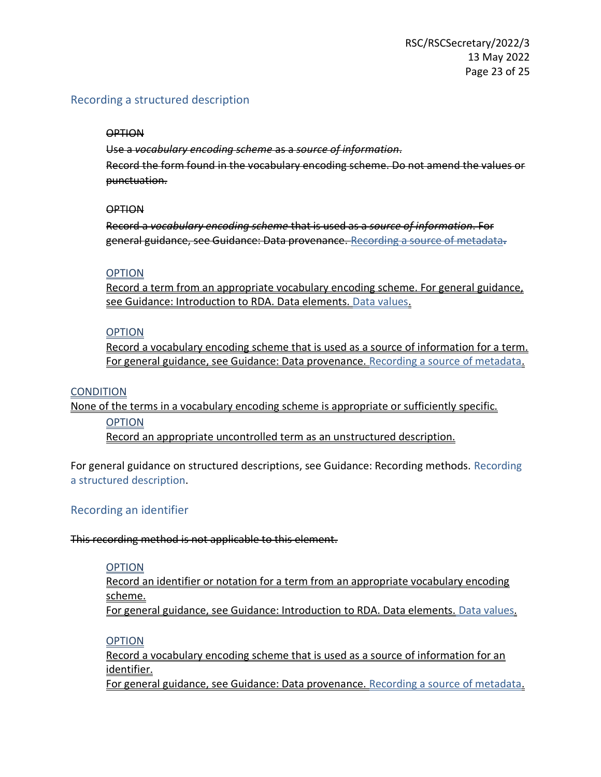## Recording a structured description

## **OPTION**

Use a *vocabulary encoding scheme* as a *source of information*. Record the form found in the vocabulary encoding scheme. Do not amend the values or punctuation.

## **OPTION**

Record a *vocabulary encoding scheme* that is used as a *source of information*. For general guidance, see Guidance: Data provenance. [Recording a source of metadata](https://access.rdatoolkit.org/Guidance/Index?externalId=en-US_ala-cfa18e03-17f2-378a-874c-86515bf7e0ac#section_rdaId_section_gr4_l4l_5cb)**.**

## **OPTION**

Record a term from an appropriate vocabulary encoding scheme. For general guidance, see Guidance: Introduction to RDA. Data elements. Data values.

## **OPTION**

Record a vocabulary encoding scheme that is used as a source of information for a term. For general guidance, see Guidance: Data provenance. Recording a source of metadata.

## **CONDITION**

None of the terms in a vocabulary encoding scheme is appropriate or sufficiently specific.

## OPTION

Record an appropriate uncontrolled term as an unstructured description.

For general guidance on structured descriptions, see Guidance: Recording methods. Recording a structured description.

## Recording an identifier

## This recording method is not applicable to this element.

## **OPTION**

Record an identifier or notation for a term from an appropriate vocabulary encoding scheme. For general guidance, see Guidance: Introduction to RDA. Data elements. Data values.

## **OPTION**

Record a vocabulary encoding scheme that is used as a source of information for an identifier.

For general guidance, see Guidance: Data provenance. Recording a source of metadata.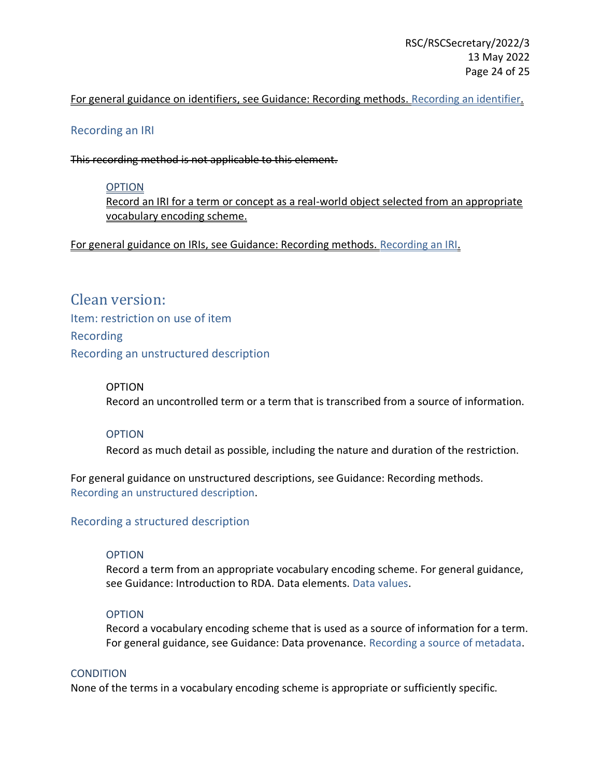## For general guidance on identifiers, see Guidance: Recording methods. Recording an identifier.

## Recording an IRI

This recording method is not applicable to this element.

## **OPTION**

Record an IRI for a term or concept as a real-world object selected from an appropriate vocabulary encoding scheme.

For general guidance on IRIs, see Guidance: Recording methods. Recording an IRI.

Clean version: Item: restriction on use of item Recording Recording an unstructured description

## OPTION

Record an uncontrolled term or a term that is transcribed from a source of information.

## **OPTION**

Record as much detail as possible, including the nature and duration of the restriction.

For general guidance on unstructured descriptions, see Guidance: Recording methods. [Recording an unstructured description.](https://access.rdatoolkit.org/Guidance/Index?externalId=en-US_ala-a06b3aa1-d994-31b1-b961-e4ce37c1a4d3#section_rdaId_section_gvh_jsg_nbb)

## Recording a structured description

## **OPTION**

Record a term from an appropriate vocabulary encoding scheme. For general guidance, see Guidance: Introduction to RDA. Data elements. Data values.

## OPTION

Record a vocabulary encoding scheme that is used as a source of information for a term. For general guidance, see Guidance: Data provenance. Recording a source of metadata.

## **CONDITION**

None of the terms in a vocabulary encoding scheme is appropriate or sufficiently specific.